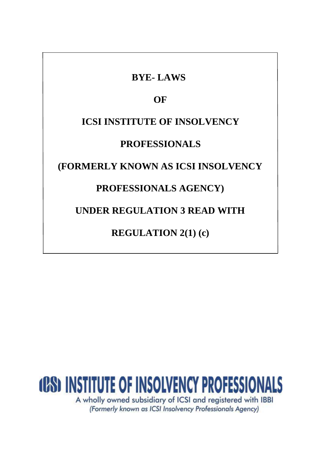# **BYE- LAWS OF ICSI INSTITUTE OF INSOLVENCY PROFESSIONALS (FORMERLY KNOWN AS ICSI INSOLVENCY PROFESSIONALS AGENCY) UNDER REGULATION 3 READ WITH REGULATION 2(1) (c)**

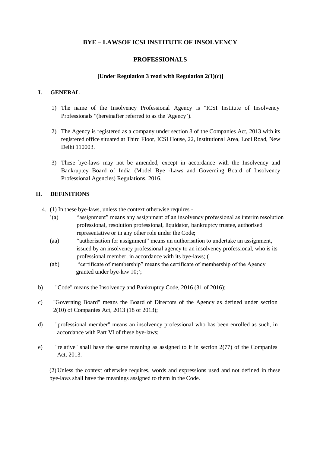# **BYE – LAWSOF ICSI INSTITUTE OF INSOLVENCY**

## **PROFESSIONALS**

#### **[Under Regulation 3 read with Regulation 2(1)(c)]**

## **I. GENERAL**

- 1) The name of the Insolvency Professional Agency is "ICSI Institute of Insolvency Professionals "(hereinafter referred to as the 'Agency').
- 2) The Agency is registered as a company under section 8 of the Companies Act, 2013 with its registered office situated at Third Floor, ICSI House, 22, Institutional Area, Lodi Road, New Delhi 110003.
- 3) These bye-laws may not be amended, except in accordance with the Insolvency and Bankruptcy Board of India (Model Bye -Laws and Governing Board of Insolvency Professional Agencies) Regulations, 2016.

## **II. DEFINITIONS**

- 4. (1) In these bye-laws, unless the context otherwise requires
	- '(a) "assignment" means any assignment of an insolvency professional as interim resolution professional, resolution professional, liquidator, bankruptcy trustee, authorised representative or in any other role under the Code;
	- (aa) "authorisation for assignment" means an authorisation to undertake an assignment, issued by an insolvency professional agency to an insolvency professional, who is its professional member, in accordance with its bye-laws; (
	- (ab) "certificate of membership" means the certificate of membership of the Agency granted under bye-law 10;';
- b) "Code" means the Insolvency and Bankruptcy Code, 2016 (31 of 2016);
- c) "Governing Board" means the Board of Directors of the Agency as defined under section 2(10) of Companies Act, 2013 (18 of 2013);
- d) "professional member" means an insolvency professional who has been enrolled as such, in accordance with Part VI of these bye-laws;
- e) "relative" shall have the same meaning as assigned to it in section 2(77) of the Companies Act, 2013.

(2) Unless the context otherwise requires, words and expressions used and not defined in these bye-laws shall have the meanings assigned to them in the Code.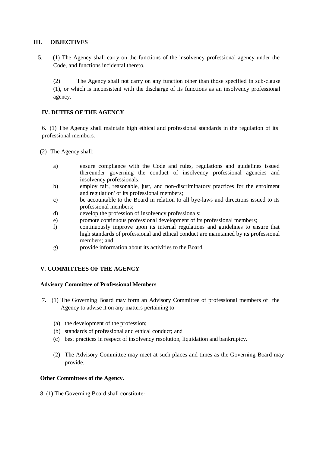## **III. OBJECTIVES**

5. (1) The Agency shall carry on the functions of the insolvency professional agency under the Code, and functions incidental thereto.

(2) The Agency shall not carry on any function other than those specified in sub-clause (1), or which is inconsistent with the discharge of its functions as an insolvency professional agency.

## **IV. DUTIES OF THE AGENCY**

6. (1) The Agency shall maintain high ethical and professional standards in the regulation of its professional members.

- (2) The Agency shall:
	- a) ensure compliance with the Code and rules, regulations and guidelines issued thereunder governing the conduct of insolvency professional agencies and insolvency professionals;
	- b) employ fair, reasonable, just, and non-discriminatory practices for the enrolment and regulation' of its professional members;
	- c) be accountable to the Board in relation to all bye-laws and directions issued to its professional members;
	- d) develop the profession of insolvency professionals;
	- e) promote continuous professional development of its professional members;
	- f) continuously improve upon its internal regulations and guidelines to ensure that high standards of professional and ethical conduct are maintained by its professional members; and
	- g) provide information about its activities to the Board.

## **V. COMMITTEES OF THE AGENCY**

#### **Advisory Committee of Professional Members**

- 7. (1) The Governing Board may form an Advisory Committee of professional members of the Agency to advise it on any matters pertaining to-
	- (a) the development of the profession;
	- (b) standards of professional and ethical conduct; and
	- (c) best practices in respect of insolvency resolution, liquidation and bankruptcy.
	- (2) The Advisory Committee may meet at such places and times as the Governing Board may provide.

#### **Other Committees of the Agency.**

8. (1) The Governing Board shall constitute-.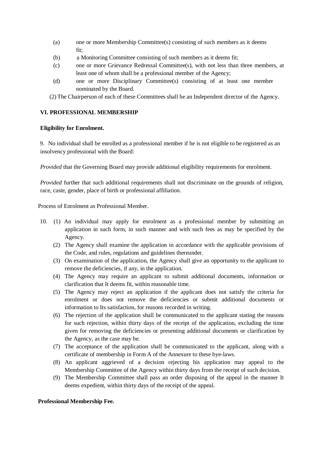- (a) one or more Membership Committee(s) consisting of such members as it deems fit;
- (b) a Monitoring Committee consisting of such members as it deems fit;
- (c) one or more Grievance Redressal Committee(s), with not less than three members, at least one of whom shall be a professional member of the Agency;
- (d) one or more Disciplinary Committee(s) consisting of at least one member nominated by the Board.
- (2) The Chairperson of each of these Committees shall be an Independent director of the Agency.

## **VI. PROFESSIONAL MEMBERSHIP**

#### **Eligibility for Enrolment.**

9. No individual shall be enrolled as a professional member if he is not eligible to be registered as an insolvency professional with the Board:

*Provided* that the Governing Board may provide additional eligibility requirements for enrolment.

*Provided* further that such additional requirements shall not discriminate on the grounds of religion, race, caste, gender, place of birth or professional affiliation.

Process of Enrolment as Professional Member.

- 10. (1) An individual may apply for enrolment as a professional member by submitting an application in such form, in such manner and with such fees as may be specified by the Agency.
	- (2) The Agency shall examine the application in accordance with the applicable provisions of the Code, and rules, regulations and guidelines thereunder.
	- (3) On examination of the application, the Agency shall give an opportunity to the applicant to remove the deficiencies, if any, in the application.
	- (4) The Agency may require an applicant to submit additional documents, information or clarification that It deems fit, within reasonable time.
	- (5) The Agency may reject an application if the applicant does not satisfy the criteria for enrolment or does not remove the deficiencies or submit additional documents or information to Its satisfaction, for reasons recorded in writing.
	- (6) The rejection of the application shall be communicated to the applicant stating the reasons for such rejection, within thirty days of the receipt of the application, excluding the time given for removing the deficiencies or presenting additional documents or clarification by the Agency, as the case may be.
	- (7) The acceptance of the application shall be communicated to the applicant, along with a certificate of membership in Form A of the Annexure to these bye-laws.
	- (8) An applicant aggrieved of a decision rejecting his application may appeal to the Membership Committee of the Agency within thirty days from the receipt of such decision.
	- (9) The Membership Committee shall pass an order disposing of the appeal in the manner It deems expedient, within thirty days of the receipt of the appeal.

#### **Professional Membership Fee.**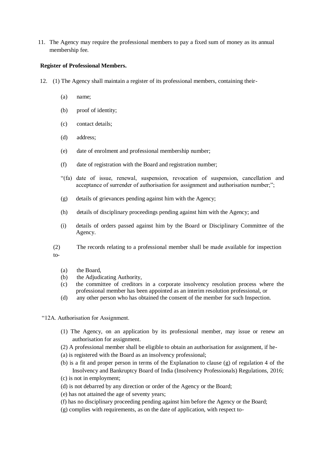11. The Agency may require the professional members to pay a fixed sum of money as its annual membership fee.

#### **Register of Professional Members.**

- 12. (1) The Agency shall maintain a register of its professional members, containing their-
	- (a) name;
	- (b) proof of identity;
	- (c) contact details;
	- (d) address;
	- (e) date of enrolment and professional membership number;
	- (f) date of registration with the Board and registration number;
	- "(fa) date of issue, renewal, suspension, revocation of suspension, cancellation and acceptance of surrender of authorisation for assignment and authorisation number;";
	- (g) details of grievances pending against him with the Agency;
	- (h) details of disciplinary proceedings pending against him with the Agency; and
	- (i) details of orders passed against him by the Board or Disciplinary Committee of the Agency.

(2) The records relating to a professional member shall be made available for inspection to-

- (a) the Board,
- (b) the Adjudicating Authority,
- (c) the committee of creditors in a corporate insolvency resolution process where the professional member has been appointed as an interim resolution professional, or
- (d) any other person who has obtained the consent of the member for such Inspection.
- "12A. Authorisation for Assignment.
	- (1) The Agency, on an application by its professional member, may issue or renew an authorisation for assignment.
	- (2) A professional member shall be eligible to obtain an authorisation for assignment, if he-
	- (a) is registered with the Board as an insolvency professional;
	- (b) is a fit and proper person in terms of the Explanation to clause (g) of regulation 4 of the Insolvency and Bankruptcy Board of India (Insolvency Professionals) Regulations, 2016;
	- (c) is not in employment;
	- (d) is not debarred by any direction or order of the Agency or the Board;
	- (e) has not attained the age of seventy years;
	- (f) has no disciplinary proceeding pending against him before the Agency or the Board;
	- (g) complies with requirements, as on the date of application, with respect to-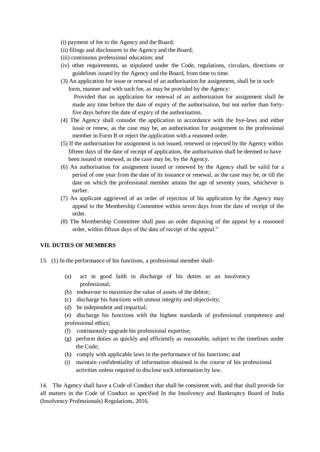- (i) payment of fee to the Agency and the Board;
- (ii) filings and disclosures to the Agency and the Board;
- (iii) continuous professional education; and
- (iv) other requirements, as stipulated under the Code, regulations, circulars, directions or guidelines issued by the Agency and the Board, from time to time.
- (3) An application for issue or renewal of an authorisation for assignment, shall be in such form, manner and with such fee, as may be provided by the Agency:

Provided that an application for renewal of an authorisation for assignment shall be made any time before the date of expiry of the authorisation, but not earlier than fortyfive days before the date of expiry of the authorisation.

- (4) The Agency shall consider the application in accordance with the bye-laws and either issue or renew, as the case may be, an authorisation for assignment to the professional member in Form B or reject the application with a reasoned order.
- (5) If the authorisation for assignment is not issued, renewed or rejected by the Agency within fifteen days of the date of receipt of application, the authorisation shall be deemed to have been issued or renewed, as the case may be, by the Agency.
- (6) An authorisation for assignment issued or renewed by the Agency shall be valid for a period of one year from the date of its issuance or renewal, as the case may be, or till the date on which the professional member attains the age of seventy years, whichever is earlier.
- (7) An applicant aggrieved of an order of rejection of his application by the Agency may appeal to the Membership Committee within seven days from the date of receipt of the order.
- (8) The Membership Committee shall pass an order disposing of the appeal by a reasoned order, within fifteen days of the date of receipt of the appeal."

#### **VII. DUTIES OF MEMBERS**

- 13. (1) In the performance of his functions, a professional member shall-
	- (a) act in good faith in discharge of his duties as an insolvency professional;
	- (b) endeavour to maximize the value of assets of the debtor;
	- (c) discharge his functions with utmost integrity and objectivity;
	- (d) be independent and impartial;
	- (e) discharge his functions with the highest standards of professional competence and professional ethics;
	- (f) continuously upgrade his professional expertise;
	- (g) perform duties as quickly and efficiently as reasonable, subject to the timelines under the Code;
	- (h) comply with applicable laws in the performance of his functions; and
	- (i) maintain confidentiality of information obtained in the course of his professional activities unless required to disclose such information by law.

14. The Agency shall have a Code of Conduct that shall be consistent with, and that shall provide for all matters in the Code of Conduct as specified In the Insolvency and Bankruptcy Board of India (Insolvency Professionals) Regulations, 2016.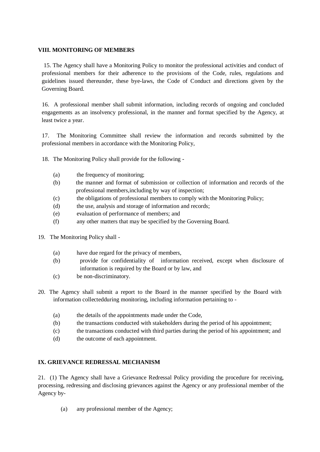## **VIII. MONITORING OF MEMBERS**

15. The Agency shall have a Monitoring Policy to monitor the professional activities and conduct of professional members for their adherence to the provisions of the Code, rules, regulations and guidelines issued thereunder, these bye-laws, the Code of Conduct and directions given by the Governing Board.

16. A professional member shall submit information, including records of ongoing and concluded engagements as an insolvency professional, in the manner and format specified by the Agency, at least twice a year.

17. The Monitoring Committee shall review the information and records submitted by the professional members in accordance with the Monitoring Policy,

- 18. The Monitoring Policy shall provide for the following
	- (a) the frequency of monitoring;
	- (b) the manner and format of submission or collection of information and records of the professional members,including by way of inspection;
	- (c) the obligations of professional members to comply with the Monitoring Policy;
	- (d) the use, analysis and storage of information and records;
	- (e) evaluation of performance of members; and
	- (f) any other matters that may be specified by the Governing Board.
- 19. The Monitoring Policy shall
	- (a) have due regard for the privacy of members,
	- (b) provide for confidentiality of information received, except when disclosure of information is required by the Board or by law, and
	- (c) be non-discriminatory.
- 20. The Agency shall submit a report to the Board in the manner specified by the Board with information collectedduring monitoring, including information pertaining to -
	- (a) the details of the appointments made under the Code,
	- (b) the transactions conducted with stakeholders during the period of his appointment;
	- (c) the transactions conducted with third parties during the period of his appointment; and
	- (d) the outcome of each appointment.

#### **IX. GRIEVANCE REDRESSAL MECHANISM**

21. (1) The Agency shall have a Grievance Redressal Policy providing the procedure for receiving, processing, redressing and disclosing grievances against the Agency or any professional member of the Agency by-

(a) any professional member of the Agency;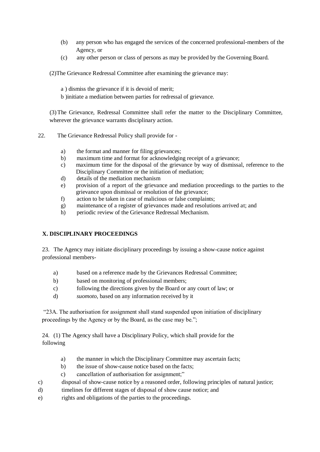- (b) any person who has engaged the services of the concerned professional-members of the Agency, or
- (c) any other person or class of persons as may be provided by the Governing Board.

(2)The Grievance Redressal Committee after examining the grievance may:

- a ) dismiss the grievance if it is devoid of merit;
- b )initiate a mediation between parties for redressal of grievance.

(3)The Grievance, Redressal Committee shall refer the matter to the Disciplinary Committee, wherever the grievance warrants disciplinary action.

- 22. The Grievance Redressal Policy shall provide for
	- a) the format and manner for filing grievances;
	- b) maximum time and format for acknowledging receipt of a grievance;
	- c) maximum time for the disposal of the grievance by way of dismissal, reference to the Disciplinary Committee or the initiation of mediation;
	- d) details of the mediation mechanism
	- e) provision of a report of the grievance and mediation proceedings to the parties to the grievance upon dismissal or resolution of the grievance;
	- f) action to be taken in case of malicious or false complaints;
	- g) maintenance of a register of grievances made and resolutions arrived at; and
	- h) periodic review of the Grievance Redressal Mechanism.

# **X. DISCIPLINARY PROCEEDINGS**

23. The Agency may initiate disciplinary proceedings by issuing a show-cause notice against professional members-

- a) based on a reference made by the Grievances Redressal Committee;
- b) based on monitoring of professional members;
- c) following the directions given by the Board or any court of law; or
- d) *suomoto,* based on any information received by it

"23A. The authorisation for assignment shall stand suspended upon initiation of disciplinary proceedings by the Agency or by the Board, as the case may be.";

24. (1) The Agency shall have a Disciplinary Policy, which shall provide for the following

- a) the manner in which the Disciplinary Committee may ascertain facts;
- b) the issue of show-cause notice based on the facts;
- c) cancellation of authorisation for assignment;"
- c) disposal of show-cause notice by a reasoned order, following principles of natural justice;
- d) timelines for different stages of disposal of show cause notice; and
- e) rights and obligations of the parties to the proceedings.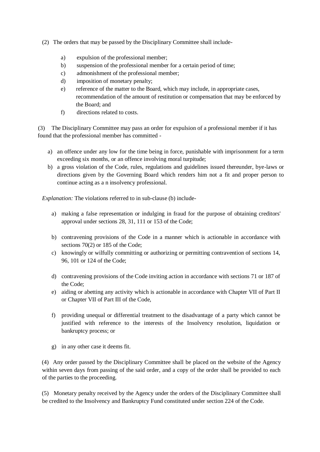- (2) The orders that may be passed by the Disciplinary Committee shall include
	- a) expulsion of the professional member;
	- b) suspension of the professional member for a certain period of time;
	- c) admonishment of the professional member;
	- d) imposition of monetary penalty;
	- e) reference of the matter to the Board, which may include, in appropriate cases, recommendation of the amount of restitution or compensation that may be enforced by the Board; and
	- f) directions related to costs.

(3) The Disciplinary Committee may pass an order for expulsion of a professional member if it has found that the professional member has committed -

- a) an offence under any low for the time being in force, punishable with imprisonment for a term exceeding six months, or an offence involving moral turpitude;
- b) a gross violation of the Code, rules, regulations and guidelines issued thereunder, bye-laws or directions given by the Governing Board which renders him not a fit and proper person to continue acting as a n insolvency professional.

*Explanation:* The violations referred to in sub-clause (b) include-

- a) making a false representation or indulging in fraud for the purpose of obtaining creditors' approval under sections 28, 31, 111 or 153 of the Code;
- b) contravening provisions of the Code in a manner which is actionable in accordance with sections 70(2) or 185 of the Code;
- c) knowingly or wilfully committing or authorizing or permitting contravention of sections 14, 96, 101 or 124 of the Code;
- d) contravening provisions of the Code inviting action in accordance with sections 71 or 187 of the Code;
- e) aiding or abetting any activity which is actionable in accordance with Chapter VII of Part II or Chapter VII of Part III of the Code,
- f) providing unequal or differential treatment to the disadvantage of a party which cannot be justified with reference to the interests of the Insolvency resolution, liquidation or bankruptcy process; or
- g) in any other case it deems fit.

(4) Any order passed by the Disciplinary Committee shall be placed on the website of the Agency within seven days from passing of the said order, and a copy of the order shall be provided to each of the parties to the proceeding.

(5) Monetary penalty received by the Agency under the orders of the Disciplinary Committee shall be credited to the Insolvency and Bankruptcy Fund constituted under section 224 of the Code.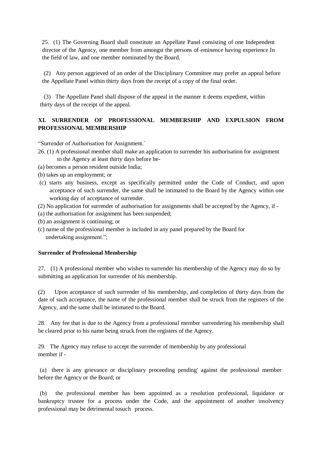25. (1) The Governing Board shall constitute an Appellate Panel consisting of one Independent director of the Agency, one member from amongst the persons of eminence having experience In the field of law, and one member nominated by the Board.

(2) Any person aggrieved of an order of the Disciplinary Committee may prefer an appeal before the Appellate Panel within thirty days from the receipt of a copy of the final order.

(3) The Appellate Panel shall dispose of the appeal in the manner it deems expedient, within thirty days of the receipt of the appeal.

# **XI. SURRENDER OF PROFESSIONAL MEMBERSHIP AND EXPULSION FROM PROFESSIONAL MEMBERSHIP**

"Surrender of Authorisation for Assignment.`

- 26. (1) A professional member shall make an application to surrender his authorisation for assignment to the Agency at least thirty days before he-
- (a) becomes a person resident outside India;
- (b) takes up an employment; or
- (c) starts any business, except as specifically permitted under the Code of Conduct, and upon acceptance of such surrender, the same shall be intimated to the Board by the Agency within one working day of acceptance of surrender.
- (2) No application for surrender of authorisation for assignments shall be accepted by the Agency, if -
- (a) the authorisation for assignment has been suspended;
- (b) an assignment is continuing; or
- (c) name of the professional member is included in any panel prepared by the Board for undertaking assignment.";

#### **Surrender of Professional Membership**

27. (1) A professional member who wishes to surrender his membership of the Agency may do so by submitting an application for surrender of his membership.

(2) Upon acceptance of such surrender of his membership, and completion of thirty days from the date of such acceptance, the name of the professional member shall be struck from the registers of the Agency, and the same shall be intimated to the Board.

28. Any fee that is due to the Agency from a professional member surrendering his membership shall be cleared prior to his name being struck from the registers of the Agency.

29. The Agency may refuse to accept the surrender of membership by any professional member if -

(a) there is any grievance or disciplinary proceeding pending' against the professional member before the Agency or the Board; or

(b) the professional member has been appointed as a resolution professional, liquidator or bankruptcy trustee for a process under the Code, and the appointment of another insolvency professional may be detrimental tosuch process.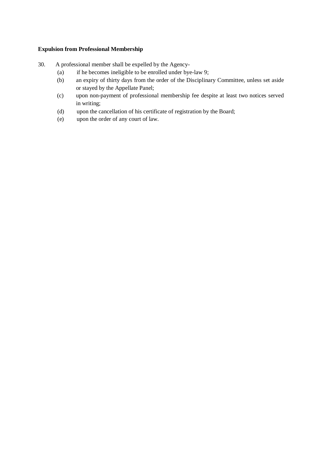## **Expulsion from Professional Membership**

- 30. A professional member shall be expelled by the Agency-
	- (a) if he becomes ineligible to be enrolled under bye-law 9;
	- (b) an expiry of thirty days from the order of the Disciplinary Committee, unless set aside or stayed by the Appellate Panel;
	- (c) upon non-payment of professional membership fee despite at least two notices served in writing;
	- (d) upon the cancellation of his certificate of registration by the Board;
	- (e) upon the order of any court of law.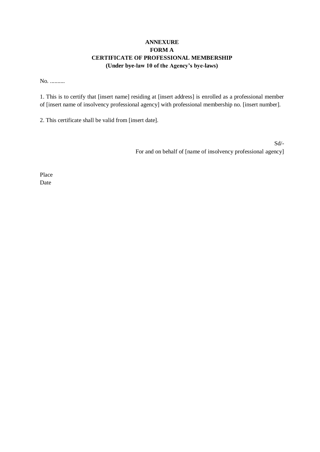# **ANNEXURE FORM A CERTIFICATE OF PROFESSIONAL MEMBERSHIP (Under bye-law 10 of the Agency's bye-laws)**

No. ..........

1. This is to certify that [insert name] residing at [insert address] is enrolled as a professional member of [insert name of insolvency professional agency] with professional membership no. [insert number].

2. This certificate shall be valid from [insert date].

Sd/- For and on behalf of [name of insolvency professional agency]

Place Date